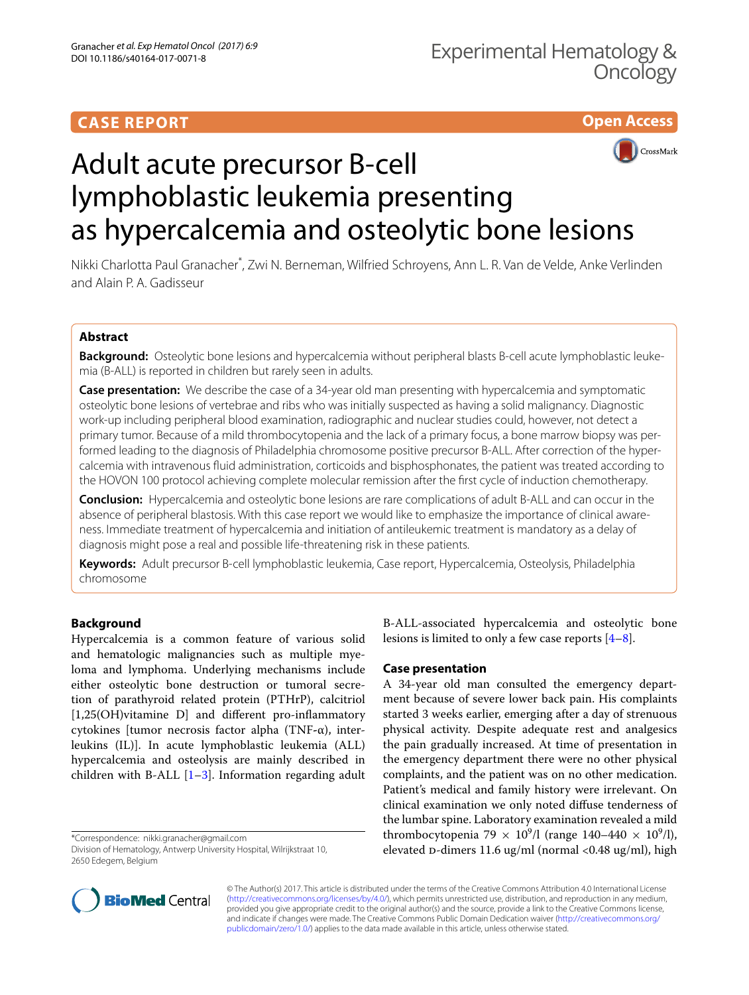# **CASE REPORT**

## **Open Access**



# Adult acute precursor B-cell lymphoblastic leukemia presenting as hypercalcemia and osteolytic bone lesions

Nikki Charlotta Paul Granacher<sup>\*</sup>, Zwi N. Berneman, Wilfried Schroyens, Ann L. R. Van de Velde, Anke Verlinden and Alain P. A. Gadisseur

## **Abstract**

**Background:** Osteolytic bone lesions and hypercalcemia without peripheral blasts B-cell acute lymphoblastic leukemia (B-ALL) is reported in children but rarely seen in adults.

**Case presentation:** We describe the case of a 34-year old man presenting with hypercalcemia and symptomatic osteolytic bone lesions of vertebrae and ribs who was initially suspected as having a solid malignancy. Diagnostic work-up including peripheral blood examination, radiographic and nuclear studies could, however, not detect a primary tumor. Because of a mild thrombocytopenia and the lack of a primary focus, a bone marrow biopsy was performed leading to the diagnosis of Philadelphia chromosome positive precursor B-ALL. After correction of the hypercalcemia with intravenous fuid administration, corticoids and bisphosphonates, the patient was treated according to the HOVON 100 protocol achieving complete molecular remission after the frst cycle of induction chemotherapy.

**Conclusion:** Hypercalcemia and osteolytic bone lesions are rare complications of adult B-ALL and can occur in the absence of peripheral blastosis. With this case report we would like to emphasize the importance of clinical awareness. Immediate treatment of hypercalcemia and initiation of antileukemic treatment is mandatory as a delay of diagnosis might pose a real and possible life-threatening risk in these patients.

**Keywords:** Adult precursor B-cell lymphoblastic leukemia, Case report, Hypercalcemia, Osteolysis, Philadelphia chromosome

## **Background**

Hypercalcemia is a common feature of various solid and hematologic malignancies such as multiple myeloma and lymphoma. Underlying mechanisms include either osteolytic bone destruction or tumoral secretion of parathyroid related protein (PTHrP), calcitriol [1,25(OH)vitamine D] and different pro-inflammatory cytokines [tumor necrosis factor alpha (TNF**-**α), interleukins (IL)]. In acute lymphoblastic leukemia (ALL) hypercalcemia and osteolysis are mainly described in children with B-ALL  $[1-3]$  $[1-3]$  $[1-3]$ . Information regarding adult

\*Correspondence: nikki.granacher@gmail.com

Division of Hematology, Antwerp University Hospital, Wilrijkstraat 10, 2650 Edegem, Belgium

B-ALL-associated hypercalcemia and osteolytic bone lesions is limited to only a few case reports [\[4](#page-3-2)[–8](#page-3-3)].

### **Case presentation**

A 34-year old man consulted the emergency department because of severe lower back pain. His complaints started 3 weeks earlier, emerging after a day of strenuous physical activity. Despite adequate rest and analgesics the pain gradually increased. At time of presentation in the emergency department there were no other physical complaints, and the patient was on no other medication. Patient's medical and family history were irrelevant. On clinical examination we only noted difuse tenderness of the lumbar spine. Laboratory examination revealed a mild thrombocytopenia 79  $\times$  10<sup>9</sup>/l (range 140–440  $\times$  10<sup>9</sup>/l), elevated D-dimers 11.6 ug/ml (normal <0.48 ug/ml), high



© The Author(s) 2017. This article is distributed under the terms of the Creative Commons Attribution 4.0 International License [\(http://creativecommons.org/licenses/by/4.0/\)](http://creativecommons.org/licenses/by/4.0/), which permits unrestricted use, distribution, and reproduction in any medium, provided you give appropriate credit to the original author(s) and the source, provide a link to the Creative Commons license, and indicate if changes were made. The Creative Commons Public Domain Dedication waiver ([http://creativecommons.org/](http://creativecommons.org/publicdomain/zero/1.0/) [publicdomain/zero/1.0/](http://creativecommons.org/publicdomain/zero/1.0/)) applies to the data made available in this article, unless otherwise stated.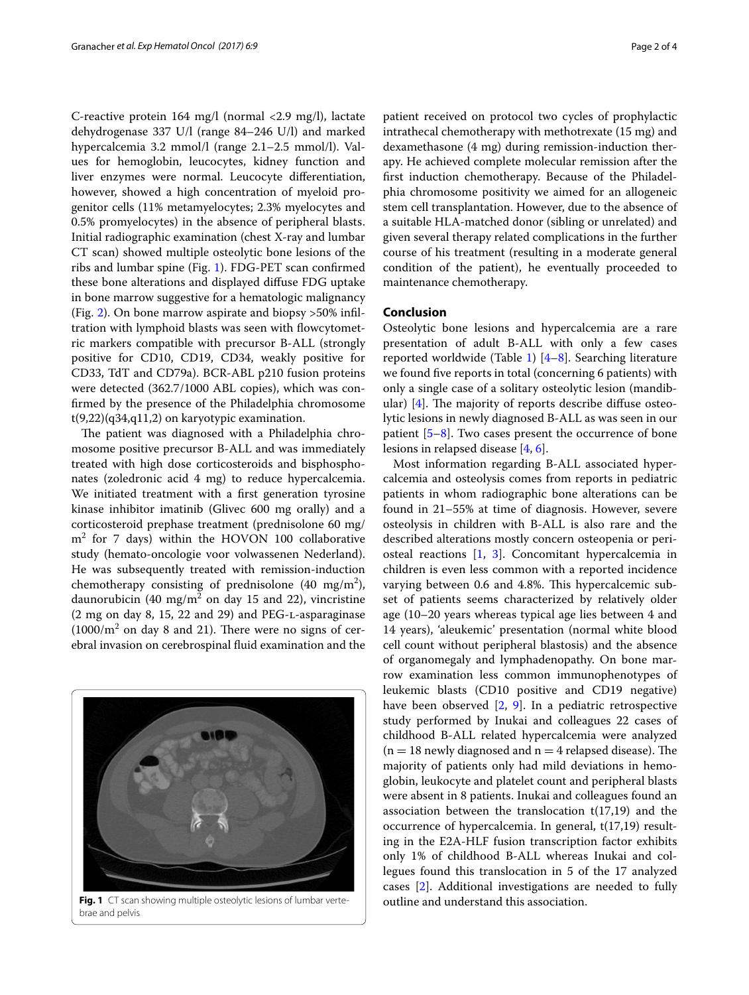C-reactive protein 164 mg/l (normal <2.9 mg/l), lactate dehydrogenase 337 U/l (range 84–246 U/l) and marked hypercalcemia 3.2 mmol/l (range 2.1–2.5 mmol/l). Values for hemoglobin, leucocytes, kidney function and liver enzymes were normal. Leucocyte diferentiation, however, showed a high concentration of myeloid progenitor cells (11% metamyelocytes; 2.3% myelocytes and 0.5% promyelocytes) in the absence of peripheral blasts. Initial radiographic examination (chest X-ray and lumbar CT scan) showed multiple osteolytic bone lesions of the ribs and lumbar spine (Fig. [1](#page-1-0)). FDG-PET scan confrmed these bone alterations and displayed difuse FDG uptake in bone marrow suggestive for a hematologic malignancy (Fig. [2](#page-2-0)). On bone marrow aspirate and biopsy >50% infltration with lymphoid blasts was seen with fowcytometric markers compatible with precursor B-ALL (strongly positive for CD10, CD19, CD34, weakly positive for CD33, TdT and CD79a). BCR-ABL p210 fusion proteins were detected (362.7/1000 ABL copies), which was confrmed by the presence of the Philadelphia chromosome t(9,22)(q34,q11,2) on karyotypic examination.

The patient was diagnosed with a Philadelphia chromosome positive precursor B-ALL and was immediately treated with high dose corticosteroids and bisphosphonates (zoledronic acid 4 mg) to reduce hypercalcemia. We initiated treatment with a first generation tyrosine kinase inhibitor imatinib (Glivec 600 mg orally) and a corticosteroid prephase treatment (prednisolone 60 mg/ m2 for 7 days) within the HOVON 100 collaborative study (hemato-oncologie voor volwassenen Nederland). He was subsequently treated with remission-induction chemotherapy consisting of prednisolone (40  $\text{mg/m}^2$ ), daunorubicin (40  $\text{mg/m}^2$  on day 15 and 22), vincristine (2 mg on day 8, 15, 22 and 29) and PEG-l-asparaginase  $(1000/m<sup>2</sup>$  on day 8 and 21). There were no signs of cerebral invasion on cerebrospinal fuid examination and the



<span id="page-1-0"></span>brae and pelvis

patient received on protocol two cycles of prophylactic intrathecal chemotherapy with methotrexate (15 mg) and dexamethasone (4 mg) during remission-induction therapy. He achieved complete molecular remission after the frst induction chemotherapy. Because of the Philadelphia chromosome positivity we aimed for an allogeneic stem cell transplantation. However, due to the absence of a suitable HLA-matched donor (sibling or unrelated) and given several therapy related complications in the further course of his treatment (resulting in a moderate general condition of the patient), he eventually proceeded to maintenance chemotherapy.

#### **Conclusion**

Osteolytic bone lesions and hypercalcemia are a rare presentation of adult B-ALL with only a few cases reported worldwide (Table [1](#page-2-1)) [\[4–](#page-3-2)[8\]](#page-3-3). Searching literature we found fve reports in total (concerning 6 patients) with only a single case of a solitary osteolytic lesion (mandibular)  $[4]$  $[4]$ . The majority of reports describe diffuse osteolytic lesions in newly diagnosed B-ALL as was seen in our patient [[5–](#page-3-4)[8](#page-3-3)]. Two cases present the occurrence of bone lesions in relapsed disease [\[4](#page-3-2), [6\]](#page-3-5).

Most information regarding B-ALL associated hypercalcemia and osteolysis comes from reports in pediatric patients in whom radiographic bone alterations can be found in 21–55% at time of diagnosis. However, severe osteolysis in children with B-ALL is also rare and the described alterations mostly concern osteopenia or periosteal reactions [\[1](#page-3-0), [3\]](#page-3-1). Concomitant hypercalcemia in children is even less common with a reported incidence varying between 0.6 and 4.8%. This hypercalcemic subset of patients seems characterized by relatively older age (10–20 years whereas typical age lies between 4 and 14 years), 'aleukemic' presentation (normal white blood cell count without peripheral blastosis) and the absence of organomegaly and lymphadenopathy. On bone marrow examination less common immunophenotypes of leukemic blasts (CD10 positive and CD19 negative) have been observed [\[2](#page-3-6), [9\]](#page-3-7). In a pediatric retrospective study performed by Inukai and colleagues 22 cases of childhood B-ALL related hypercalcemia were analyzed  $(n = 18$  newly diagnosed and  $n = 4$  relapsed disease). The majority of patients only had mild deviations in hemoglobin, leukocyte and platelet count and peripheral blasts were absent in 8 patients. Inukai and colleagues found an association between the translocation  $t(17,19)$  and the occurrence of hypercalcemia. In general, t(17,19) resulting in the E2A-HLF fusion transcription factor exhibits only 1% of childhood B-ALL whereas Inukai and collegues found this translocation in 5 of the 17 analyzed cases [[2](#page-3-6)]. Additional investigations are needed to fully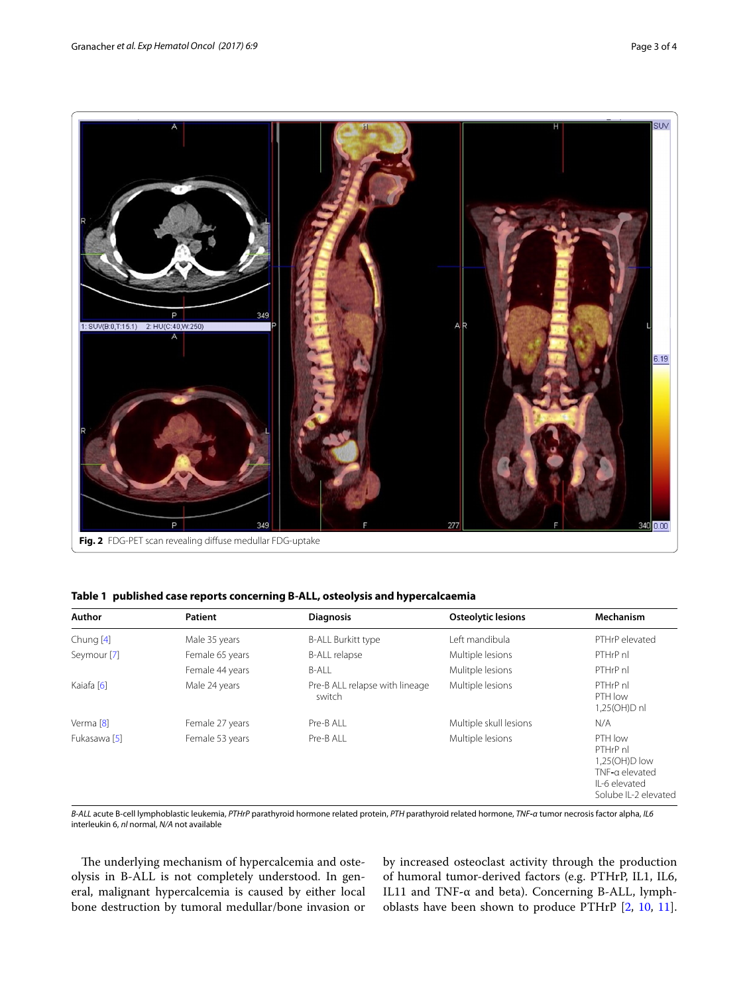

**Table 1 published case reports concerning B-ALL, osteolysis and hypercalcaemia**

<span id="page-2-1"></span><span id="page-2-0"></span>

| Author                 | Patient         | <b>Diagnosis</b>                         | <b>Osteolytic lesions</b> | Mechanism                                                                                       |
|------------------------|-----------------|------------------------------------------|---------------------------|-------------------------------------------------------------------------------------------------|
| Chung [4]              | Male 35 years   | <b>B-ALL Burkitt type</b>                | Left mandibula            | PTHrP elevated                                                                                  |
| Seymour <sup>[7]</sup> | Female 65 years | <b>B-ALL relapse</b>                     | Multiple lesions          | PTHrP nl                                                                                        |
|                        | Female 44 years | <b>B-ALL</b>                             | Mulitple lesions          | PTHrP nl                                                                                        |
| Kaiafa [6]             | Male 24 years   | Pre-B ALL relapse with lineage<br>switch | Multiple lesions          | PTHrP nl<br>PTH low<br>1,25(OH)D nl                                                             |
| Verma <sup>[8]</sup>   | Female 27 years | Pre-B ALL                                | Multiple skull lesions    | N/A                                                                                             |
| Fukasawa [5]           | Female 53 years | Pre-B ALL                                | Multiple lesions          | PTH low<br>PTHrP nl<br>1,25(OH)D low<br>TNF-a elevated<br>IL-6 elevated<br>Solube IL-2 elevated |

*B*-*ALL* acute B-cell lymphoblastic leukemia, *PTHrP* parathyroid hormone related protein, *PTH* parathyroid related hormone, *TNF***-***α* tumor necrosis factor alpha, *IL6* interleukin 6, *nl* normal, *N/A* not available

The underlying mechanism of hypercalcemia and osteolysis in B-ALL is not completely understood. In general, malignant hypercalcemia is caused by either local bone destruction by tumoral medullar/bone invasion or by increased osteoclast activity through the production of humoral tumor-derived factors (e.g. PTHrP, IL1, IL6, IL11 and TNF**-**α and beta). Concerning B-ALL, lymphoblasts have been shown to produce PTHrP [\[2](#page-3-6), [10,](#page-3-8) [11](#page-3-9)].